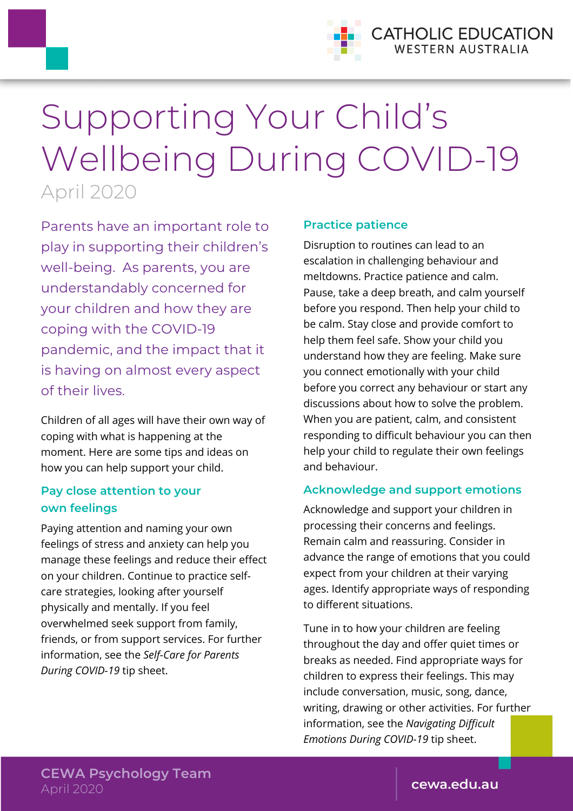

# Supporting Your Child's Wellbeing During COVID-19 April 2020

Parents have an important role to play in supporting their children's well-being. As parents, you are understandably concerned for your children and how they are coping with the COVID-19 pandemic, and the impact that it is having on almost every aspect of their lives.

Children of all ages will have their own way of coping with what is happening at the moment. Here are some tips and ideas on how you can help support your child.

# **Pay close attention to your own feelings**

Paying attention and naming your own feelings of stress and anxiety can help you manage these feelings and reduce their effect on your children. Continue to practice selfcare strategies, looking after yourself physically and mentally. If you feel overwhelmed seek support from family, friends, or from support services. For further information, see the *Self-Care for Parents During COVID-19* tip sheet.

#### **Practice patience**

Disruption to routines can lead to an escalation in challenging behaviour and meltdowns. Practice patience and calm. Pause, take a deep breath, and calm yourself before you respond. Then help your child to be calm. Stay close and provide comfort to help them feel safe. Show your child you understand how they are feeling. Make sure you connect emotionally with your child before you correct any behaviour or start any discussions about how to solve the problem. When you are patient, calm, and consistent responding to difficult behaviour you can then help your child to regulate their own feelings and behaviour.

## **Acknowledge and support emotions**

Acknowledge and support your children in processing their concerns and feelings. Remain calm and reassuring. Consider in advance the range of emotions that you could expect from your children at their varying ages. Identify appropriate ways of responding to different situations.

Tune in to how your children are feeling throughout the day and offer quiet times or breaks as needed. Find appropriate ways for children to express their feelings. This may include conversation, music, song, dance, writing, drawing or other activities. For further information, see the *Navigating Difficult Emotions During COVID-19* tip sheet.